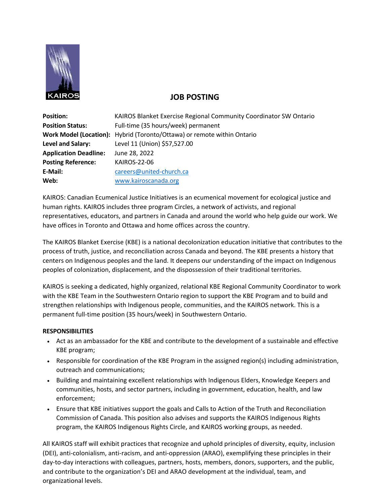

## **JOB POSTING**

| <b>Position:</b>             | KAIROS Blanket Exercise Regional Community Coordinator SW Ontario       |
|------------------------------|-------------------------------------------------------------------------|
| <b>Position Status:</b>      | Full-time (35 hours/week) permanent                                     |
|                              | Work Model (Location): Hybrid (Toronto/Ottawa) or remote within Ontario |
| Level and Salary:            | Level 11 (Union) \$57,527.00                                            |
| <b>Application Deadline:</b> | June 28, 2022                                                           |
| <b>Posting Reference:</b>    | KAIROS-22-06                                                            |
| E-Mail:                      | careers@united-church.ca                                                |
| Web:                         | www.kairoscanada.org                                                    |

KAIROS: Canadian Ecumenical Justice Initiatives is an ecumenical movement for ecological justice and human rights. KAIROS includes three program Circles, a network of activists, and regional representatives, educators, and partners in Canada and around the world who help guide our work. We have offices in Toronto and Ottawa and home offices across the country.

The KAIROS Blanket Exercise (KBE) is a national decolonization education initiative that contributes to the process of truth, justice, and reconciliation across Canada and beyond. The KBE presents a history that centers on Indigenous peoples and the land. It deepens our understanding of the impact on Indigenous peoples of colonization, displacement, and the dispossession of their traditional territories.

KAIROS is seeking a dedicated, highly organized, relational KBE Regional Community Coordinator to work with the KBE Team in the Southwestern Ontario region to support the KBE Program and to build and strengthen relationships with Indigenous people, communities, and the KAIROS network. This is a permanent full-time position (35 hours/week) in Southwestern Ontario.

## **RESPONSIBILITIES**

- Act as an ambassador for the KBE and contribute to the development of a sustainable and effective KBE program;
- Responsible for coordination of the KBE Program in the assigned region(s) including administration, outreach and communications;
- Building and maintaining excellent relationships with Indigenous Elders, Knowledge Keepers and communities, hosts, and sector partners, including in government, education, health, and law enforcement;
- Ensure that KBE initiatives support the goals and Calls to Action of the Truth and Reconciliation Commission of Canada. This position also advises and supports the KAIROS Indigenous Rights program, the KAIROS Indigenous Rights Circle, and KAIROS working groups, as needed.

All KAIROS staff will exhibit practices that recognize and uphold principles of diversity, equity, inclusion (DEI), anti-colonialism, anti-racism, and anti-oppression (ARAO), exemplifying these principles in their day-to-day interactions with colleagues, partners, hosts, members, donors, supporters, and the public, and contribute to the organization's DEI and ARAO development at the individual, team, and organizational levels.